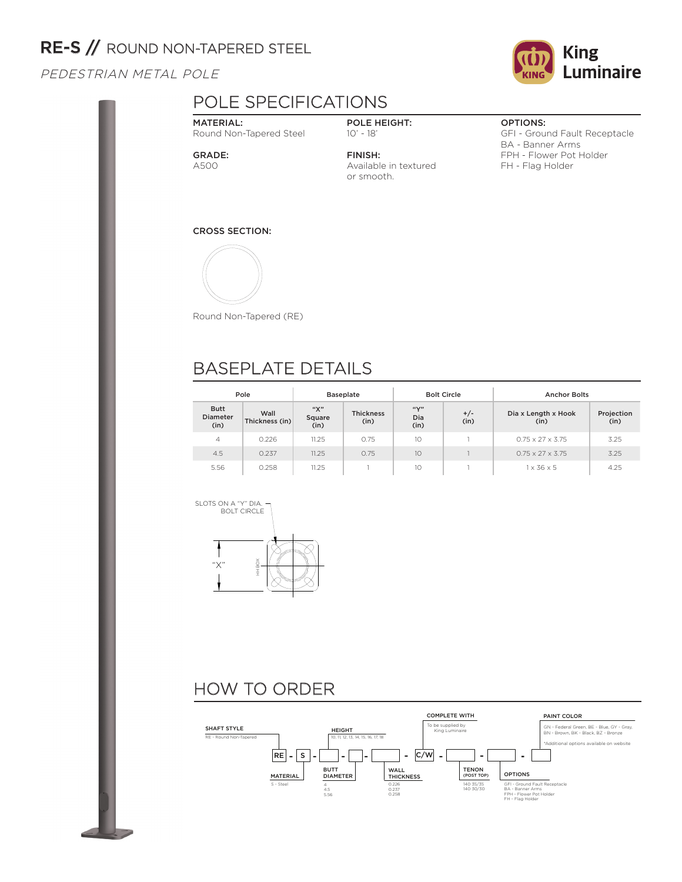## RE-S // ROUND NON-TAPERED STEEL

PEDESTRIAN METAL POLE

# POLE SPECIFICATIONS

### MATERIAL: Round Non-Tapered Steel

POLE HEIGHT: 10' - 18'

GRADE: A500

FINISH: Available in textured or smooth.

### OPTIONS:

GFI - Ground Fault Receptacle BA - Banner Arms FPH - Flower Pot Holder FH - Flag Holder

### CROSS SECTION:



Round Non-Tapered (RE)

## BASEPLATE DETAILS

| Pole                                   |                        |                       | <b>Baseplate</b>         |                                           | <b>Bolt Circle</b> | <b>Anchor Bolts</b>          |                    |  |
|----------------------------------------|------------------------|-----------------------|--------------------------|-------------------------------------------|--------------------|------------------------------|--------------------|--|
| <b>Butt</b><br><b>Diameter</b><br>(in) | Wall<br>Thickness (in) | "Х"<br>Square<br>(in) | <b>Thickness</b><br>(in) | $\mathfrak{g}(\mathbf{v})$<br>Dia<br>(in) | $+/-$<br>(in)      | Dia x Length x Hook<br>(in)  | Projection<br>(in) |  |
| 4                                      | 0.226                  | 11.25                 | 0.75                     | 10                                        |                    | $0.75 \times 27 \times 3.75$ | 3.25               |  |
| 4.5                                    | 0.237                  | 11.25                 | 0.75                     | 10                                        |                    | $0.75 \times 27 \times 3.75$ | 3.25               |  |
| 5.56                                   | 0.258                  | 11.25                 |                          | 10                                        |                    | $1 \times 36 \times 5$       | 4.25               |  |







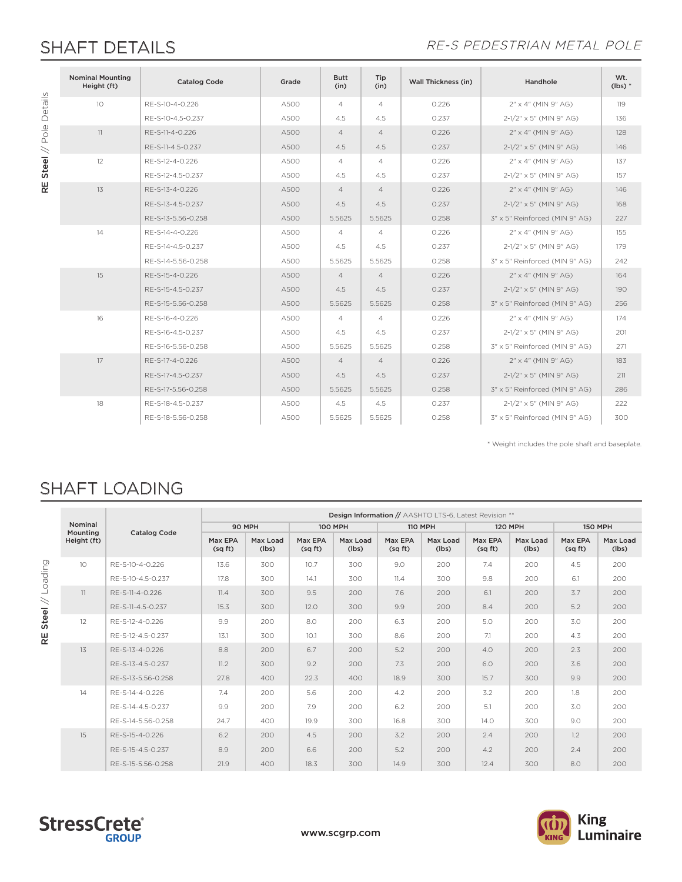### SHAFT DETAILS **SHAFT DETAILS**

|                       | <b>Nominal Mounting</b><br>Height (ft) | <b>Catalog Code</b> | Grade | <b>Butt</b><br>(in) | Tip<br>(in)    | Wall Thickness (in) | Handhole                       | Wt.<br>$(lbs)*$ |
|-----------------------|----------------------------------------|---------------------|-------|---------------------|----------------|---------------------|--------------------------------|-----------------|
| Details               | 10 <sup>°</sup>                        | RE-S-10-4-0.226     | A500  | $\overline{4}$      | $\overline{4}$ | 0.226               | 2" x 4" (MIN 9" AG)            | 119             |
|                       |                                        | RE-S-10-4.5-0.237   | A500  | 4.5                 | 4.5            | 0.237               | 2-1/2" x 5" (MIN 9" AG)        | 136             |
| $\frac{\omega}{\rho}$ | 11                                     | RE-S-11-4-0.226     | A500  | $\overline{4}$      | $\overline{4}$ | 0.226               | 2" x 4" (MIN 9" AG)            | 128             |
|                       |                                        | RE-S-11-4.5-0.237   | A500  | 4.5                 | 4.5            | 0.237               | $2-1/2" \times 5"$ (MIN 9" AG) | 146             |
| Steel $//$            | 12                                     | RE-S-12-4-0.226     | A500  | $\overline{4}$      | $\overline{4}$ | 0.226               | 2" x 4" (MIN 9" AG)            | 137             |
|                       |                                        | RE-S-12-4.5-0.237   | A500  | 4.5                 | 4.5            | 0.237               | 2-1/2" x 5" (MIN 9" AG)        | 157             |
| $\mathbf{R}$          | 13                                     | RE-S-13-4-0.226     | A500  | $\overline{4}$      | $\overline{4}$ | 0.226               | 2" x 4" (MIN 9" AG)            | 146             |
|                       |                                        | RE-S-13-4.5-0.237   | A500  | 4.5                 | 4.5            | 0.237               | $2-1/2" \times 5"$ (MIN 9" AG) | 168             |
|                       |                                        | RE-S-13-5.56-0.258  | A500  | 5.5625              | 5.5625         | 0.258               | 3" x 5" Reinforced (MIN 9" AG) | 227             |
|                       | 14                                     | RE-S-14-4-0.226     | A500  | $\overline{4}$      | $\overline{4}$ | 0.226               | 2" x 4" (MIN 9" AG)            | 155             |
|                       |                                        | RE-S-14-4.5-0.237   | A500  | 4.5                 | 4.5            | 0.237               | 2-1/2" x 5" (MIN 9" AG)        | 179             |
|                       |                                        | RE-S-14-5.56-0.258  | A500  | 5.5625              | 5.5625         | 0.258               | 3" x 5" Reinforced (MIN 9" AG) | 242             |
|                       | 15                                     | RE-S-15-4-0.226     | A500  | $\overline{4}$      | $\overline{4}$ | 0.226               | 2" x 4" (MIN 9" AG)            | 164             |
|                       |                                        | RE-S-15-4.5-0.237   | A500  | 4.5                 | 4.5            | 0.237               | $2-1/2" \times 5"$ (MIN 9" AG) | 190             |
|                       |                                        | RE-S-15-5.56-0.258  | A500  | 5.5625              | 5.5625         | 0.258               | 3" x 5" Reinforced (MIN 9" AG) | 256             |
|                       | 16                                     | RE-S-16-4-0.226     | A500  | $\overline{4}$      | $\overline{4}$ | 0.226               | 2" x 4" (MIN 9" AG)            | 174             |
|                       |                                        | RE-S-16-4.5-0.237   | A500  | 4.5                 | 4.5            | 0.237               | 2-1/2" x 5" (MIN 9" AG)        | 201             |
|                       |                                        | RE-S-16-5.56-0.258  | A500  | 5.5625              | 5.5625         | 0.258               | 3" x 5" Reinforced (MIN 9" AG) | 271             |
|                       | 17                                     | RE-S-17-4-0.226     | A500  | $\overline{4}$      | $\overline{4}$ | 0.226               | 2" x 4" (MIN 9" AG)            | 183             |
|                       |                                        | RE-S-17-4.5-0.237   | A500  | 4.5                 | 4.5            | 0.237               | $2-1/2" \times 5"$ (MIN 9" AG) | 211             |
|                       |                                        | RE-S-17-5.56-0.258  | A500  | 5.5625              | 5.5625         | 0.258               | 3" x 5" Reinforced (MIN 9" AG) | 286             |
|                       | 18                                     | RE-S-18-4.5-0.237   | A500  | 4.5                 | 4.5            | 0.237               | 2-1/2" x 5" (MIN 9" AG)        | 222             |
|                       |                                        | RE-S-18-5.56-0.258  | A500  | 5.5625              | 5.5625         | 0.258               | 3" x 5" Reinforced (MIN 9" AG) | 300             |

\* Weight includes the pole shaft and baseplate.

## SHAFT LOADING

|                    |                     |                     | Design Information // AASHTO LTS-6, Latest Revision ** |                   |                    |                   |                   |                   |                   |                   |                   |                   |  |
|--------------------|---------------------|---------------------|--------------------------------------------------------|-------------------|--------------------|-------------------|-------------------|-------------------|-------------------|-------------------|-------------------|-------------------|--|
|                    | Nominal<br>Mounting | <b>Catalog Code</b> | 90 MPH                                                 |                   | <b>100 MPH</b>     |                   | <b>110 MPH</b>    |                   | <b>120 MPH</b>    |                   | <b>150 MPH</b>    |                   |  |
|                    | Height (ft)         |                     | Max EPA<br>(sq ft)                                     | Max Load<br>(lbs) | Max EPA<br>(sq ft) | Max Load<br>(lbs) | Max EPA<br>(sqft) | Max Load<br>(lbs) | Max EPA<br>(sqft) | Max Load<br>(lbs) | Max EPA<br>(sqft) | Max Load<br>(lbs) |  |
|                    | 10 <sup>°</sup>     | RE-S-10-4-0.226     | 13.6                                                   | 300               | 10.7               | 300               | 9.0               | 200               | 7.4               | 200               | 4.5               | 200               |  |
| puipeo             |                     | RE-S-10-4.5-0.237   | 17.8                                                   | 300               | 14.1               | 300               | 11.4              | 300               | 9.8               | 200               | 6.1               | 200               |  |
|                    | 11                  | RE-S-11-4-0.226     | 11.4                                                   | 300               | 9.5                | 200               | 7.6               | 200               | 6.1               | 200               | 3.7               | 200               |  |
| $\,<$              |                     | RE-S-11-4.5-0.237   | 15.3                                                   | 300               | 12.0               | 300               | 9.9               | 200               | 8.4               | 200               | 5.2               | 200               |  |
| <b>Steel</b><br>RE | 12                  | RE-S-12-4-0.226     | 9.9                                                    | 200               | 8.0                | 200               | 6.3               | 200               | 5.0               | 200               | 3.0               | 200               |  |
|                    |                     | RE-S-12-4.5-0.237   | 13.1                                                   | 300               | 10.1               | 300               | 8.6               | 200               | 7.1               | 200               | 4.3               | 200               |  |
|                    | 13                  | RE-S-13-4-0.226     | 8.8                                                    | 200               | 6.7                | 200               | 5.2               | 200               | 4.0               | 200               | 2.3               | 200               |  |
|                    |                     | RE-S-13-4.5-0.237   | 11.2                                                   | 300               | 9.2                | 200               | 7.3               | 200               | 6.0               | 200               | 3.6               | 200               |  |
|                    |                     | RE-S-13-5.56-0.258  | 27.8                                                   | 400               | 22.3               | 400               | 18.9              | 300               | 15.7              | 300               | 9.9               | 200               |  |
|                    | 14                  | RE-S-14-4-0.226     | 7.4                                                    | 200               | 5.6                | 200               | 4.2               | 200               | 3.2               | 200               | 1.8               | 200               |  |
|                    |                     | RE-S-14-4.5-0.237   | 9.9                                                    | 200               | 7.9                | 200               | 6.2               | 200               | 5.1               | 200               | 3.0               | 200               |  |
|                    |                     | RF-S-14-5.56-0.258  | 24.7                                                   | 400               | 19.9               | 300               | 16.8              | 300               | 14.0              | 300               | 9.0               | 200               |  |
|                    | 15                  | RE-S-15-4-0.226     | 6.2                                                    | 200               | 4.5                | 200               | 3.2               | 200               | 2.4               | 200               | 1.2               | 200               |  |
|                    |                     | RE-S-15-4.5-0.237   | 8.9                                                    | 200               | 6.6                | 200               | 5.2               | 200               | 4.2               | 200               | 2.4               | 200               |  |
|                    |                     | RE-S-15-5.56-0.258  | 21.9                                                   | 400               | 18.3               | 300               | 14.9              | 300               | 12.4              | 300               | 8.0               | 200               |  |